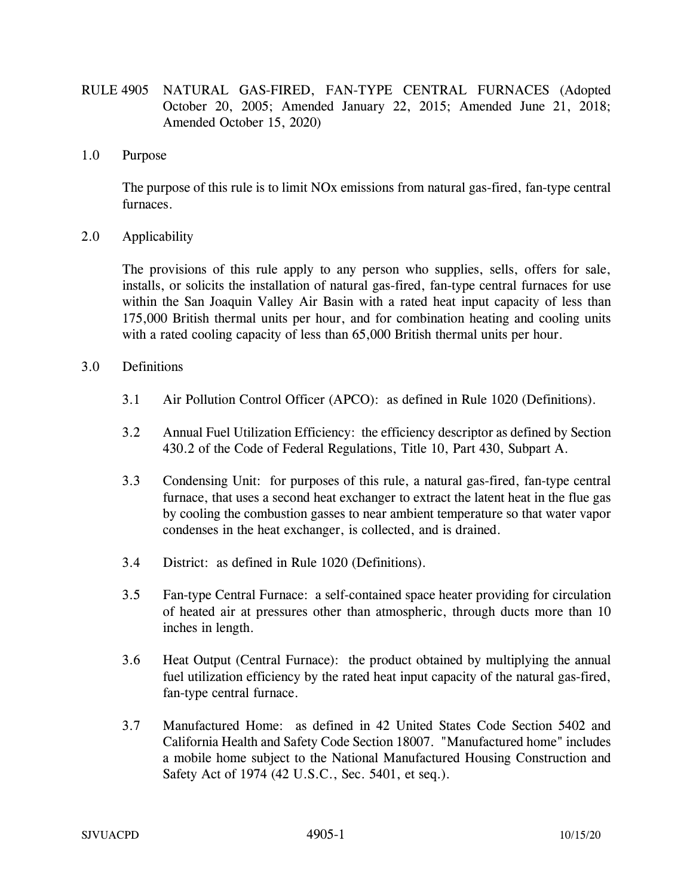- RULE 4905 NATURAL GAS-FIRED, FAN-TYPE CENTRAL FURNACES (Adopted October 20, 2005; Amended January 22, 2015; Amended June 21, 2018; Amended October 15, 2020)
- 1.0 Purpose

The purpose of this rule is to limit NOx emissions from natural gas-fired, fan-type central furnaces.

2.0 Applicability

The provisions of this rule apply to any person who supplies, sells, offers for sale, installs, or solicits the installation of natural gas-fired, fan-type central furnaces for use within the San Joaquin Valley Air Basin with a rated heat input capacity of less than 175,000 British thermal units per hour, and for combination heating and cooling units with a rated cooling capacity of less than 65,000 British thermal units per hour.

- 3.0 Definitions
	- 3.1 Air Pollution Control Officer (APCO): as defined in Rule 1020 (Definitions).
	- 3.2 Annual Fuel Utilization Efficiency: the efficiency descriptor as defined by Section 430.2 of the Code of Federal Regulations, Title 10, Part 430, Subpart A.
	- 3.3 Condensing Unit: for purposes of this rule, a natural gas-fired, fan-type central furnace, that uses a second heat exchanger to extract the latent heat in the flue gas by cooling the combustion gasses to near ambient temperature so that water vapor condenses in the heat exchanger, is collected, and is drained.
	- 3.4 District: as defined in Rule 1020 (Definitions).
	- 3.5 Fan-type Central Furnace: a self-contained space heater providing for circulation of heated air at pressures other than atmospheric, through ducts more than 10 inches in length.
	- 3.6 Heat Output (Central Furnace): the product obtained by multiplying the annual fuel utilization efficiency by the rated heat input capacity of the natural gas-fired, fan-type central furnace.
	- 3.7 Manufactured Home: as defined in 42 United States Code Section 5402 and California Health and Safety Code Section 18007. "Manufactured home" includes a mobile home subject to the National Manufactured Housing Construction and Safety Act of 1974 (42 U.S.C., Sec. 5401, et seq.).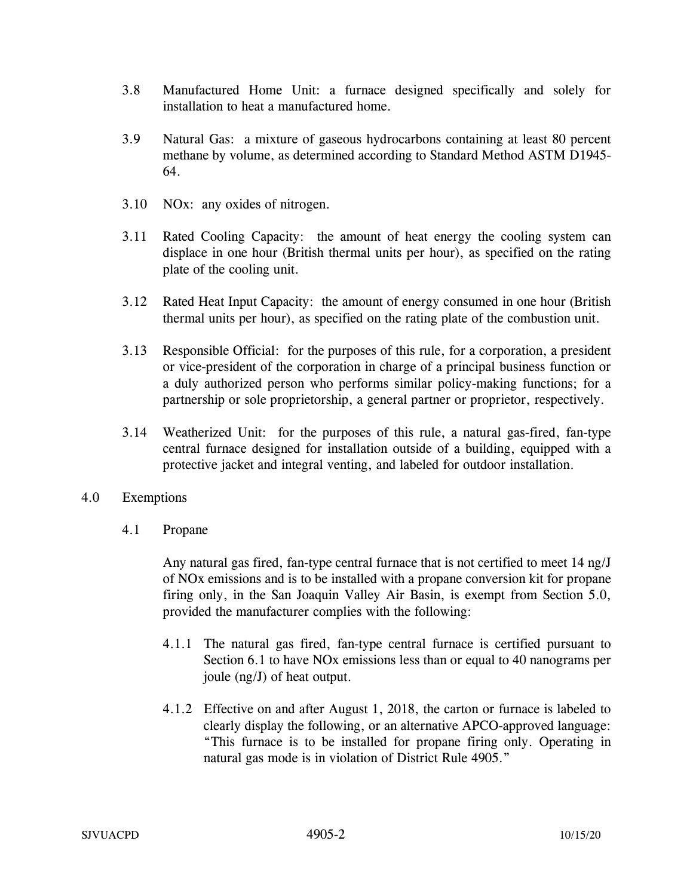- 3.8 Manufactured Home Unit: a furnace designed specifically and solely for installation to heat a manufactured home.
- 3.9 Natural Gas: a mixture of gaseous hydrocarbons containing at least 80 percent methane by volume, as determined according to Standard Method ASTM D1945- 64.
- 3.10 NOx: any oxides of nitrogen.
- 3.11 Rated Cooling Capacity: the amount of heat energy the cooling system can displace in one hour (British thermal units per hour), as specified on the rating plate of the cooling unit.
- 3.12 Rated Heat Input Capacity: the amount of energy consumed in one hour (British thermal units per hour), as specified on the rating plate of the combustion unit.
- 3.13 Responsible Official: for the purposes of this rule, for a corporation, a president or vice-president of the corporation in charge of a principal business function or a duly authorized person who performs similar policy-making functions; for a partnership or sole proprietorship, a general partner or proprietor, respectively.
- 3.14 Weatherized Unit: for the purposes of this rule, a natural gas-fired, fan-type central furnace designed for installation outside of a building, equipped with a protective jacket and integral venting, and labeled for outdoor installation.
- 4.0 Exemptions
	- 4.1 Propane

Any natural gas fired, fan-type central furnace that is not certified to meet 14 ng/J of NOx emissions and is to be installed with a propane conversion kit for propane firing only, in the San Joaquin Valley Air Basin, is exempt from Section 5.0, provided the manufacturer complies with the following:

- 4.1.1 The natural gas fired, fan-type central furnace is certified pursuant to Section 6.1 to have NOx emissions less than or equal to 40 nanograms per joule (ng/J) of heat output.
- 4.1.2 Effective on and after August 1, 2018, the carton or furnace is labeled to clearly display the following, or an alternative APCO-approved language: "This furnace is to be installed for propane firing only. Operating in natural gas mode is in violation of District Rule 4905."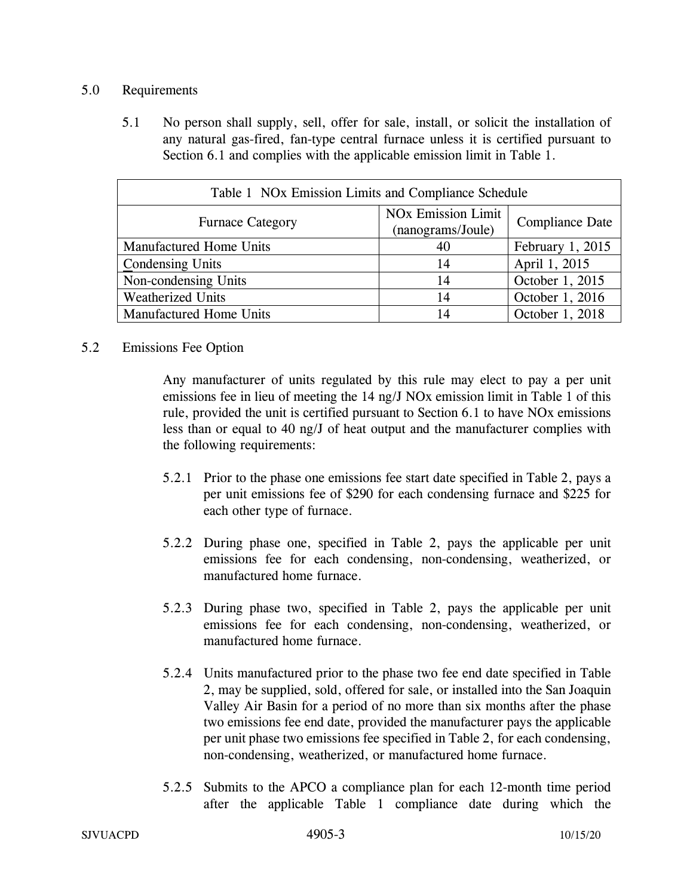## 5.0 Requirements

5.1 No person shall supply, sell, offer for sale, install, or solicit the installation of any natural gas-fired, fan-type central furnace unless it is certified pursuant to Section 6.1 and complies with the applicable emission limit in Table 1.

| Table 1 NOx Emission Limits and Compliance Schedule |                                                           |                        |  |  |  |  |  |
|-----------------------------------------------------|-----------------------------------------------------------|------------------------|--|--|--|--|--|
| <b>Furnace Category</b>                             | <b>NO<sub>x</sub></b> Emission Limit<br>(nanograms/Joule) | <b>Compliance Date</b> |  |  |  |  |  |
| <b>Manufactured Home Units</b>                      | 40                                                        | February 1, 2015       |  |  |  |  |  |
| Condensing Units                                    | 14                                                        | April 1, 2015          |  |  |  |  |  |
| Non-condensing Units                                | 14                                                        | October 1, 2015        |  |  |  |  |  |
| <b>Weatherized Units</b>                            | 14                                                        | October 1, 2016        |  |  |  |  |  |
| <b>Manufactured Home Units</b>                      | 14                                                        | October 1, 2018        |  |  |  |  |  |

## 5.2 Emissions Fee Option

Any manufacturer of units regulated by this rule may elect to pay a per unit emissions fee in lieu of meeting the 14 ng/J NOx emission limit in Table 1 of this rule, provided the unit is certified pursuant to Section 6.1 to have NOx emissions less than or equal to 40 ng/J of heat output and the manufacturer complies with the following requirements:

- 5.2.1 Prior to the phase one emissions fee start date specified in Table 2, pays a per unit emissions fee of \$290 for each condensing furnace and \$225 for each other type of furnace.
- 5.2.2 During phase one, specified in Table 2, pays the applicable per unit emissions fee for each condensing, non-condensing, weatherized, or manufactured home furnace.
- 5.2.3 During phase two, specified in Table 2, pays the applicable per unit emissions fee for each condensing, non-condensing, weatherized, or manufactured home furnace.
- 5.2.4 Units manufactured prior to the phase two fee end date specified in Table 2, may be supplied, sold, offered for sale, or installed into the San Joaquin Valley Air Basin for a period of no more than six months after the phase two emissions fee end date, provided the manufacturer pays the applicable per unit phase two emissions fee specified in Table 2, for each condensing, non-condensing, weatherized, or manufactured home furnace.
- 5.2.5 Submits to the APCO a compliance plan for each 12-month time period after the applicable Table 1 compliance date during which the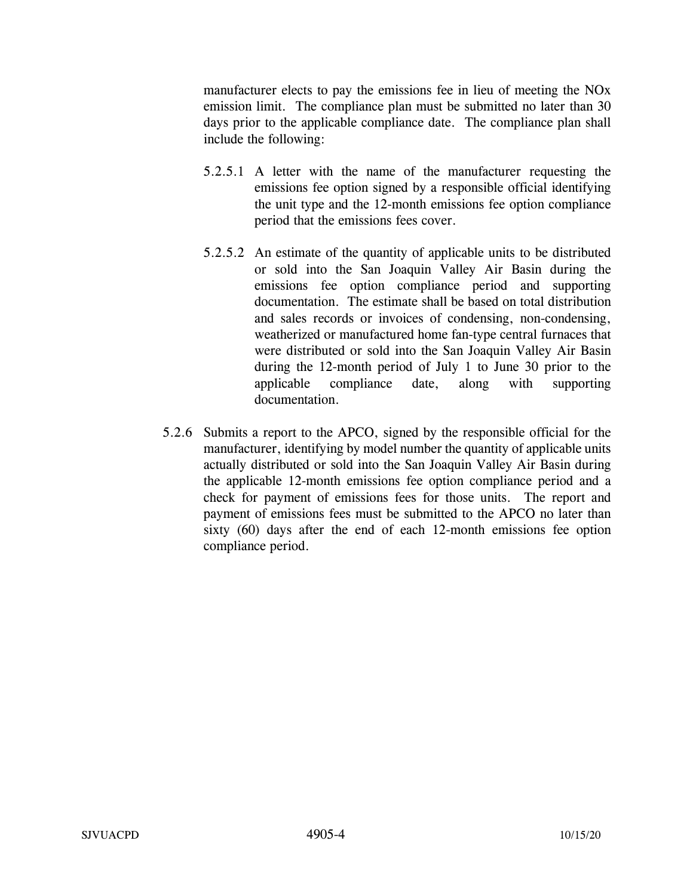manufacturer elects to pay the emissions fee in lieu of meeting the NOx emission limit. The compliance plan must be submitted no later than 30 days prior to the applicable compliance date. The compliance plan shall include the following:

- 5.2.5.1 A letter with the name of the manufacturer requesting the emissions fee option signed by a responsible official identifying the unit type and the 12-month emissions fee option compliance period that the emissions fees cover.
- 5.2.5.2 An estimate of the quantity of applicable units to be distributed or sold into the San Joaquin Valley Air Basin during the emissions fee option compliance period and supporting documentation. The estimate shall be based on total distribution and sales records or invoices of condensing, non-condensing, weatherized or manufactured home fan-type central furnaces that were distributed or sold into the San Joaquin Valley Air Basin during the 12-month period of July 1 to June 30 prior to the applicable compliance date, along with supporting documentation.
- 5.2.6 Submits a report to the APCO, signed by the responsible official for the manufacturer, identifying by model number the quantity of applicable units actually distributed or sold into the San Joaquin Valley Air Basin during the applicable 12-month emissions fee option compliance period and a check for payment of emissions fees for those units. The report and payment of emissions fees must be submitted to the APCO no later than sixty (60) days after the end of each 12-month emissions fee option compliance period.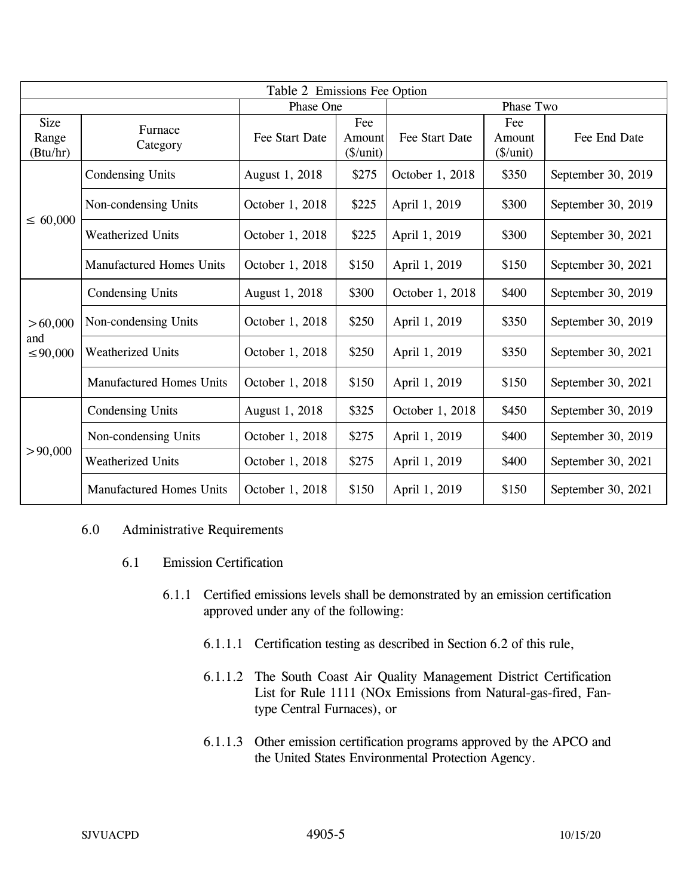| Table 2 Emissions Fee Option     |                                 |                 |                                                |                 |                                    |                    |  |  |
|----------------------------------|---------------------------------|-----------------|------------------------------------------------|-----------------|------------------------------------|--------------------|--|--|
|                                  |                                 | Phase One       |                                                | Phase Two       |                                    |                    |  |  |
| <b>Size</b><br>Range<br>(Btu/hr) | Furnace<br>Category             | Fee Start Date  | Fee<br>Amount<br>$(\frac{\sqrt{2}}{\sqrt{2}})$ | Fee Start Date  | Fee<br>Amount<br>$(\frac{\pi}{2})$ | Fee End Date       |  |  |
| $\leq 60,000$                    | Condensing Units                | August 1, 2018  | \$275                                          | October 1, 2018 | \$350                              | September 30, 2019 |  |  |
|                                  | Non-condensing Units            | October 1, 2018 | \$225                                          | April 1, 2019   | \$300                              | September 30, 2019 |  |  |
|                                  | Weatherized Units               | October 1, 2018 | \$225                                          | April 1, 2019   | \$300                              | September 30, 2021 |  |  |
|                                  | <b>Manufactured Homes Units</b> | October 1, 2018 | \$150                                          | April 1, 2019   | \$150                              | September 30, 2021 |  |  |
| > 60,000<br>and<br>$\leq 90,000$ | <b>Condensing Units</b>         | August 1, 2018  | \$300                                          | October 1, 2018 | \$400                              | September 30, 2019 |  |  |
|                                  | Non-condensing Units            | October 1, 2018 | \$250                                          | April 1, 2019   | \$350                              | September 30, 2019 |  |  |
|                                  | <b>Weatherized Units</b>        | October 1, 2018 | \$250                                          | April 1, 2019   | \$350                              | September 30, 2021 |  |  |
|                                  | <b>Manufactured Homes Units</b> | October 1, 2018 | \$150                                          | April 1, 2019   | \$150                              | September 30, 2021 |  |  |
| > 90,000                         | <b>Condensing Units</b>         | August 1, 2018  | \$325                                          | October 1, 2018 | \$450                              | September 30, 2019 |  |  |
|                                  | Non-condensing Units            | October 1, 2018 | \$275                                          | April 1, 2019   | \$400                              | September 30, 2019 |  |  |
|                                  | <b>Weatherized Units</b>        | October 1, 2018 | \$275                                          | April 1, 2019   | \$400                              | September 30, 2021 |  |  |
|                                  | <b>Manufactured Homes Units</b> | October 1, 2018 | \$150                                          | April 1, 2019   | \$150                              | September 30, 2021 |  |  |

#### 6.0 Administrative Requirements

- 6.1 Emission Certification
	- 6.1.1 Certified emissions levels shall be demonstrated by an emission certification approved under any of the following:
		- 6.1.1.1 Certification testing as described in Section 6.2 of this rule,
		- 6.1.1.2 The South Coast Air Quality Management District Certification List for Rule 1111 (NOx Emissions from Natural-gas-fired, Fantype Central Furnaces), or
		- 6.1.1.3 Other emission certification programs approved by the APCO and the United States Environmental Protection Agency.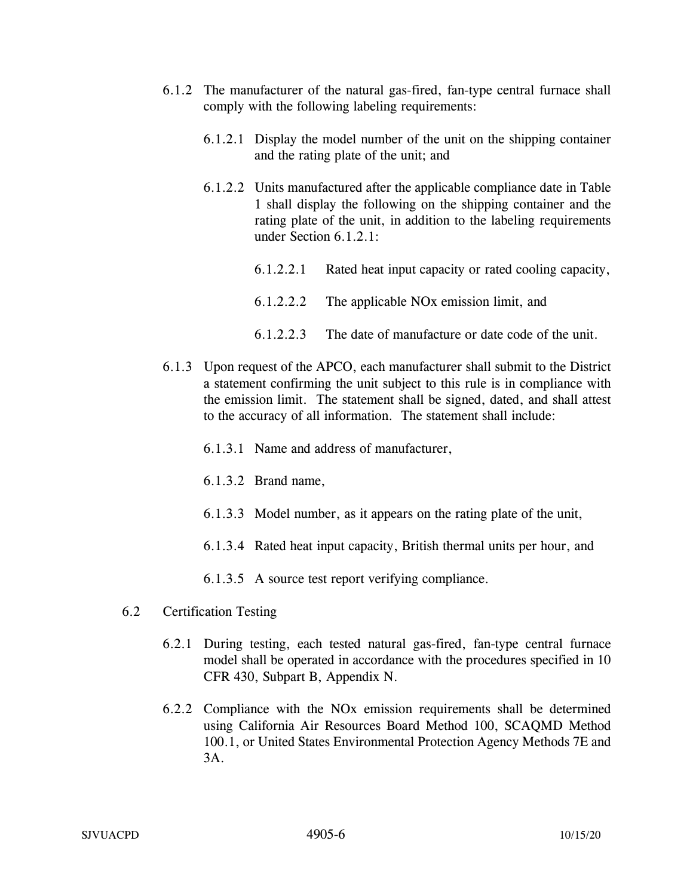- 6.1.2 The manufacturer of the natural gas-fired, fan-type central furnace shall comply with the following labeling requirements:
	- 6.1.2.1 Display the model number of the unit on the shipping container and the rating plate of the unit; and
	- 6.1.2.2 Units manufactured after the applicable compliance date in Table 1 shall display the following on the shipping container and the rating plate of the unit, in addition to the labeling requirements under Section 6.1.2.1:
		- 6.1.2.2.1 Rated heat input capacity or rated cooling capacity,
		- 6.1.2.2.2 The applicable NOx emission limit, and
		- 6.1.2.2.3 The date of manufacture or date code of the unit.
- 6.1.3 Upon request of the APCO, each manufacturer shall submit to the District a statement confirming the unit subject to this rule is in compliance with the emission limit. The statement shall be signed, dated, and shall attest to the accuracy of all information. The statement shall include:
	- 6.1.3.1 Name and address of manufacturer,
	- 6.1.3.2 Brand name,
	- 6.1.3.3 Model number, as it appears on the rating plate of the unit,
	- 6.1.3.4 Rated heat input capacity, British thermal units per hour, and
	- 6.1.3.5 A source test report verifying compliance.
- 6.2 Certification Testing
	- 6.2.1 During testing, each tested natural gas-fired, fan-type central furnace model shall be operated in accordance with the procedures specified in 10 CFR 430, Subpart B, Appendix N.
	- 6.2.2 Compliance with the NOx emission requirements shall be determined using California Air Resources Board Method 100, SCAQMD Method 100.1, or United States Environmental Protection Agency Methods 7E and 3A.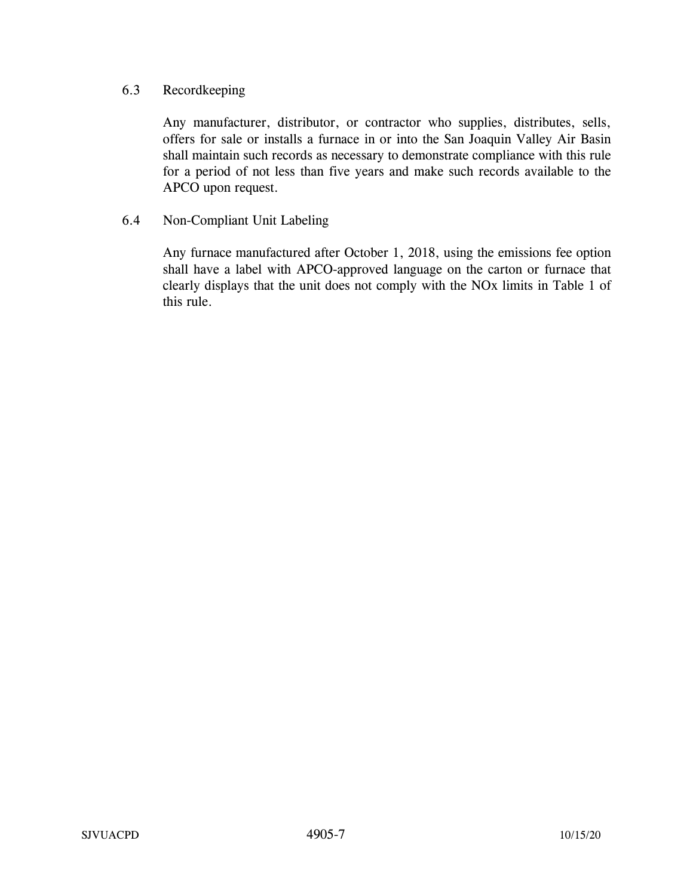# 6.3 Recordkeeping

Any manufacturer, distributor, or contractor who supplies, distributes, sells, offers for sale or installs a furnace in or into the San Joaquin Valley Air Basin shall maintain such records as necessary to demonstrate compliance with this rule for a period of not less than five years and make such records available to the APCO upon request.

## 6.4 Non-Compliant Unit Labeling

Any furnace manufactured after October 1, 2018, using the emissions fee option shall have a label with APCO-approved language on the carton or furnace that clearly displays that the unit does not comply with the NOx limits in Table 1 of this rule.